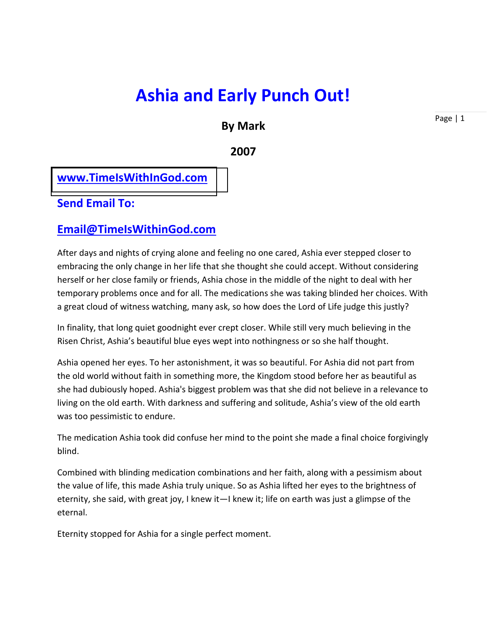# **Ashia and Early Punch Out!**

# **By Mark**

**2007**

# **[www.TimeIsWithInGod.com](http://www.timeiswithingod.com/)**

## **Send Email To:**

## **[Email@TimeIsWithinGod.com](mailto:Email@TimeIsWithinGod.com)**

After days and nights of crying alone and feeling no one cared, Ashia ever stepped closer to embracing the only change in her life that she thought she could accept. Without considering herself or her close family or friends, Ashia chose in the middle of the night to deal with her temporary problems once and for all. The medications she was taking blinded her choices. With a great cloud of witness watching, many ask, so how does the Lord of Life judge this justly?

In finality, that long quiet goodnight ever crept closer. While still very much believing in the Risen Christ, Ashia's beautiful blue eyes wept into nothingness or so she half thought.

Ashia opened her eyes. To her astonishment, it was so beautiful. For Ashia did not part from the old world without faith in something more, the Kingdom stood before her as beautiful as she had dubiously hoped. Ashia's biggest problem was that she did not believe in a relevance to living on the old earth. With darkness and suffering and solitude, Ashia's view of the old earth was too pessimistic to endure.

The medication Ashia took did confuse her mind to the point she made a final choice forgivingly blind.

Combined with blinding medication combinations and her faith, along with a pessimism about the value of life, this made Ashia truly unique. So as Ashia lifted her eyes to the brightness of eternity, she said, with great joy, I knew it—I knew it; life on earth was just a glimpse of the eternal.

Eternity stopped for Ashia for a single perfect moment.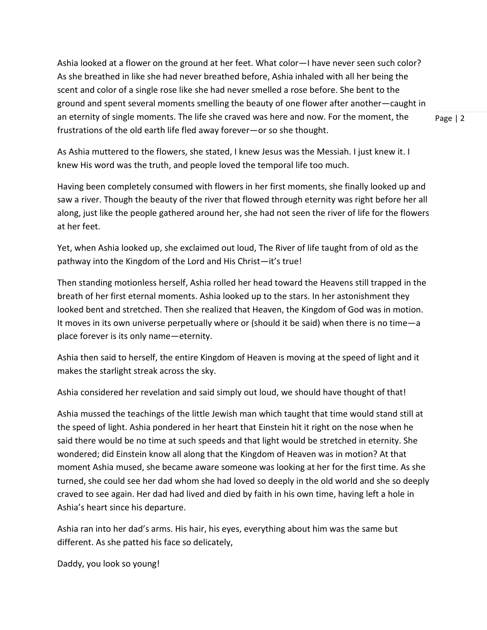Ashia looked at a flower on the ground at her feet. What color—I have never seen such color? As she breathed in like she had never breathed before, Ashia inhaled with all her being the scent and color of a single rose like she had never smelled a rose before. She bent to the ground and spent several moments smelling the beauty of one flower after another—caught in an eternity of single moments. The life she craved was here and now. For the moment, the frustrations of the old earth life fled away forever—or so she thought.

Page | 2

As Ashia muttered to the flowers, she stated, I knew Jesus was the Messiah. I just knew it. I knew His word was the truth, and people loved the temporal life too much.

Having been completely consumed with flowers in her first moments, she finally looked up and saw a river. Though the beauty of the river that flowed through eternity was right before her all along, just like the people gathered around her, she had not seen the river of life for the flowers at her feet.

Yet, when Ashia looked up, she exclaimed out loud, The River of life taught from of old as the pathway into the Kingdom of the Lord and His Christ—it's true!

Then standing motionless herself, Ashia rolled her head toward the Heavens still trapped in the breath of her first eternal moments. Ashia looked up to the stars. In her astonishment they looked bent and stretched. Then she realized that Heaven, the Kingdom of God was in motion. It moves in its own universe perpetually where or (should it be said) when there is no time—a place forever is its only name—eternity.

Ashia then said to herself, the entire Kingdom of Heaven is moving at the speed of light and it makes the starlight streak across the sky.

Ashia considered her revelation and said simply out loud, we should have thought of that!

Ashia mussed the teachings of the little Jewish man which taught that time would stand still at the speed of light. Ashia pondered in her heart that Einstein hit it right on the nose when he said there would be no time at such speeds and that light would be stretched in eternity. She wondered; did Einstein know all along that the Kingdom of Heaven was in motion? At that moment Ashia mused, she became aware someone was looking at her for the first time. As she turned, she could see her dad whom she had loved so deeply in the old world and she so deeply craved to see again. Her dad had lived and died by faith in his own time, having left a hole in Ashia's heart since his departure.

Ashia ran into her dad's arms. His hair, his eyes, everything about him was the same but different. As she patted his face so delicately,

Daddy, you look so young!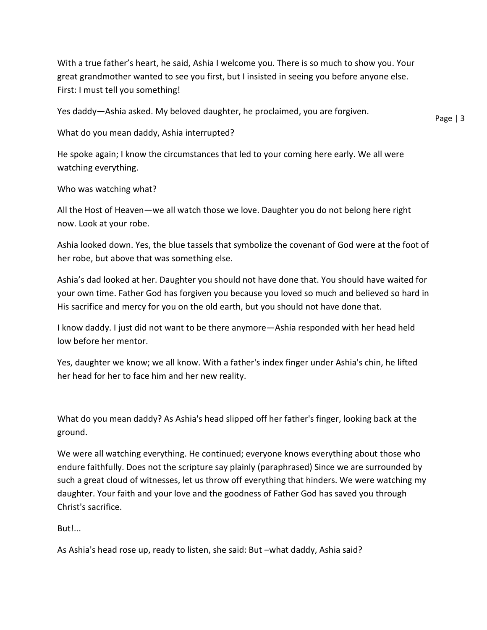With a true father's heart, he said, Ashia I welcome you. There is so much to show you. Your great grandmother wanted to see you first, but I insisted in seeing you before anyone else. First: I must tell you something!

Yes daddy—Ashia asked. My beloved daughter, he proclaimed, you are forgiven.

What do you mean daddy, Ashia interrupted?

He spoke again; I know the circumstances that led to your coming here early. We all were watching everything.

Who was watching what?

All the Host of Heaven—we all watch those we love. Daughter you do not belong here right now. Look at your robe.

Ashia looked down. Yes, the blue tassels that symbolize the covenant of God were at the foot of her robe, but above that was something else.

Ashia's dad looked at her. Daughter you should not have done that. You should have waited for your own time. Father God has forgiven you because you loved so much and believed so hard in His sacrifice and mercy for you on the old earth, but you should not have done that.

I know daddy. I just did not want to be there anymore—Ashia responded with her head held low before her mentor.

Yes, daughter we know; we all know. With a father's index finger under Ashia's chin, he lifted her head for her to face him and her new reality.

What do you mean daddy? As Ashia's head slipped off her father's finger, looking back at the ground.

We were all watching everything. He continued; everyone knows everything about those who endure faithfully. Does not the scripture say plainly (paraphrased) Since we are surrounded by such a great cloud of witnesses, let us throw off everything that hinders. We were watching my daughter. Your faith and your love and the goodness of Father God has saved you through Christ's sacrifice.

But!...

As Ashia's head rose up, ready to listen, she said: But –what daddy, Ashia said?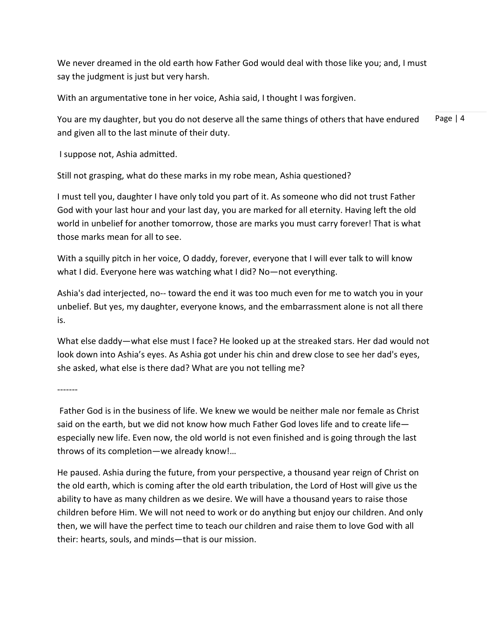We never dreamed in the old earth how Father God would deal with those like you; and, I must say the judgment is just but very harsh.

With an argumentative tone in her voice, Ashia said, I thought I was forgiven.

Page | 4 You are my daughter, but you do not deserve all the same things of others that have endured and given all to the last minute of their duty.

I suppose not, Ashia admitted.

Still not grasping, what do these marks in my robe mean, Ashia questioned?

I must tell you, daughter I have only told you part of it. As someone who did not trust Father God with your last hour and your last day, you are marked for all eternity. Having left the old world in unbelief for another tomorrow, those are marks you must carry forever! That is what those marks mean for all to see.

With a squilly pitch in her voice, O daddy, forever, everyone that I will ever talk to will know what I did. Everyone here was watching what I did? No—not everything.

Ashia's dad interjected, no-- toward the end it was too much even for me to watch you in your unbelief. But yes, my daughter, everyone knows, and the embarrassment alone is not all there is.

What else daddy—what else must I face? He looked up at the streaked stars. Her dad would not look down into Ashia's eyes. As Ashia got under his chin and drew close to see her dad's eyes, she asked, what else is there dad? What are you not telling me?

-------

Father God is in the business of life. We knew we would be neither male nor female as Christ said on the earth, but we did not know how much Father God loves life and to create lifeespecially new life. Even now, the old world is not even finished and is going through the last throws of its completion—we already know!…

He paused. Ashia during the future, from your perspective, a thousand year reign of Christ on the old earth, which is coming after the old earth tribulation, the Lord of Host will give us the ability to have as many children as we desire. We will have a thousand years to raise those children before Him. We will not need to work or do anything but enjoy our children. And only then, we will have the perfect time to teach our children and raise them to love God with all their: hearts, souls, and minds—that is our mission.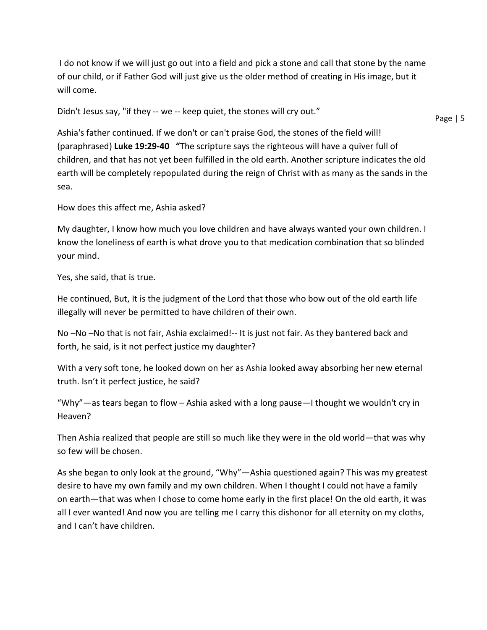I do not know if we will just go out into a field and pick a stone and call that stone by the name of our child, or if Father God will just give us the older method of creating in His image, but it will come.

Didn't Jesus say, "if they -- we -- keep quiet, the stones will cry out."

Page | 5

Ashia's father continued. If we don't or can't praise God, the stones of the field will! (paraphrased) **Luke 19:29-40 "**The scripture says the righteous will have a quiver full of children, and that has not yet been fulfilled in the old earth. Another scripture indicates the old earth will be completely repopulated during the reign of Christ with as many as the sands in the sea.

How does this affect me, Ashia asked?

My daughter, I know how much you love children and have always wanted your own children. I know the loneliness of earth is what drove you to that medication combination that so blinded your mind.

Yes, she said, that is true.

He continued, But, It is the judgment of the Lord that those who bow out of the old earth life illegally will never be permitted to have children of their own.

No –No –No that is not fair, Ashia exclaimed!-- It is just not fair. As they bantered back and forth, he said, is it not perfect justice my daughter?

With a very soft tone, he looked down on her as Ashia looked away absorbing her new eternal truth. Isn't it perfect justice, he said?

"Why"—as tears began to flow – Ashia asked with a long pause—I thought we wouldn't cry in Heaven?

Then Ashia realized that people are still so much like they were in the old world—that was why so few will be chosen.

As she began to only look at the ground, "Why"—Ashia questioned again? This was my greatest desire to have my own family and my own children. When I thought I could not have a family on earth—that was when I chose to come home early in the first place! On the old earth, it was all I ever wanted! And now you are telling me I carry this dishonor for all eternity on my cloths, and I can't have children.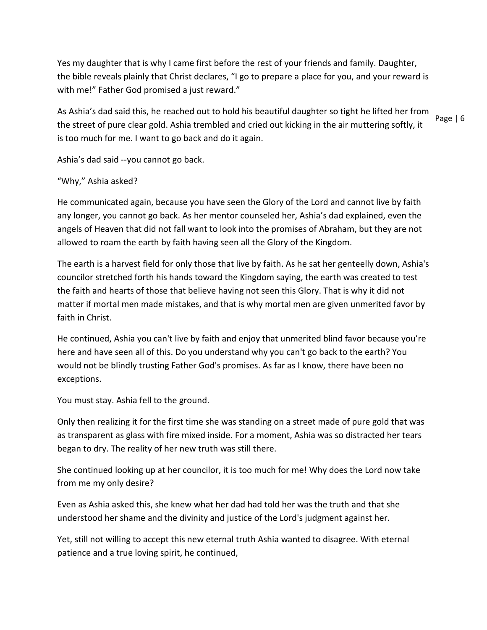Yes my daughter that is why I came first before the rest of your friends and family. Daughter, the bible reveals plainly that Christ declares, "I go to prepare a place for you, and your reward is with me!" Father God promised a just reward."

Page | 6 As Ashia's dad said this, he reached out to hold his beautiful daughter so tight he lifted her from the street of pure clear gold. Ashia trembled and cried out kicking in the air muttering softly, it is too much for me. I want to go back and do it again.

Ashia's dad said --you cannot go back.

## "Why," Ashia asked?

He communicated again, because you have seen the Glory of the Lord and cannot live by faith any longer, you cannot go back. As her mentor counseled her, Ashia's dad explained, even the angels of Heaven that did not fall want to look into the promises of Abraham, but they are not allowed to roam the earth by faith having seen all the Glory of the Kingdom.

The earth is a harvest field for only those that live by faith. As he sat her genteelly down, Ashia's councilor stretched forth his hands toward the Kingdom saying, the earth was created to test the faith and hearts of those that believe having not seen this Glory. That is why it did not matter if mortal men made mistakes, and that is why mortal men are given unmerited favor by faith in Christ.

He continued, Ashia you can't live by faith and enjoy that unmerited blind favor because you're here and have seen all of this. Do you understand why you can't go back to the earth? You would not be blindly trusting Father God's promises. As far as I know, there have been no exceptions.

You must stay. Ashia fell to the ground.

Only then realizing it for the first time she was standing on a street made of pure gold that was as transparent as glass with fire mixed inside. For a moment, Ashia was so distracted her tears began to dry. The reality of her new truth was still there.

She continued looking up at her councilor, it is too much for me! Why does the Lord now take from me my only desire?

Even as Ashia asked this, she knew what her dad had told her was the truth and that she understood her shame and the divinity and justice of the Lord's judgment against her.

Yet, still not willing to accept this new eternal truth Ashia wanted to disagree. With eternal patience and a true loving spirit, he continued,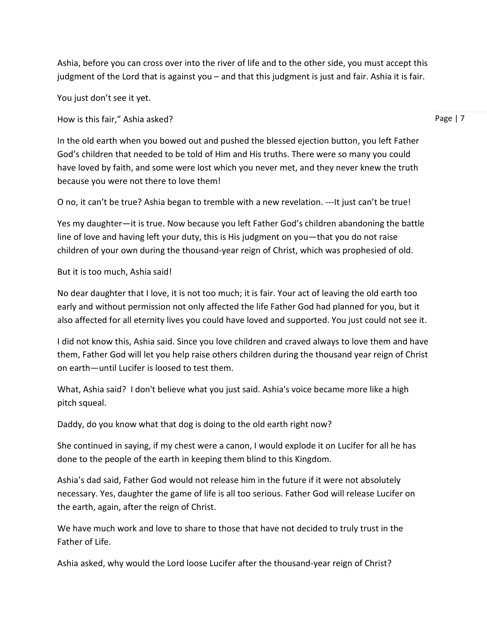Ashia, before you can cross over into the river of life and to the other side, you must accept this judgment of the Lord that is against you – and that this judgment is just and fair. Ashia it is fair.

You just don't see it yet.

How is this fair," Ashia asked?

In the old earth when you bowed out and pushed the blessed ejection button, you left Father God's children that needed to be told of Him and His truths. There were so many you could have loved by faith, and some were lost which you never met, and they never knew the truth because you were not there to love them!

O no, it can't be true? Ashia began to tremble with a new revelation. ---It just can't be true!

Yes my daughter—it is true. Now because you left Father God's children abandoning the battle line of love and having left your duty, this is His judgment on you—that you do not raise children of your own during the thousand-year reign of Christ, which was prophesied of old.

#### But it is too much, Ashia said!

No dear daughter that I love, it is not too much; it is fair. Your act of leaving the old earth too early and without permission not only affected the life Father God had planned for you, but it also affected for all eternity lives you could have loved and supported. You just could not see it.

I did not know this, Ashia said. Since you love children and craved always to love them and have them, Father God will let you help raise others children during the thousand year reign of Christ on earth—until Lucifer is loosed to test them.

What, Ashia said? I don't believe what you just said. Ashia's voice became more like a high pitch squeal.

Daddy, do you know what that dog is doing to the old earth right now?

She continued in saying, if my chest were a canon, I would explode it on Lucifer for all he has done to the people of the earth in keeping them blind to this Kingdom.

Ashia's dad said, Father God would not release him in the future if it were not absolutely necessary. Yes, daughter the game of life is all too serious. Father God will release Lucifer on the earth, again, after the reign of Christ.

We have much work and love to share to those that have not decided to truly trust in the Father of Life.

Ashia asked, why would the Lord loose Lucifer after the thousand-year reign of Christ?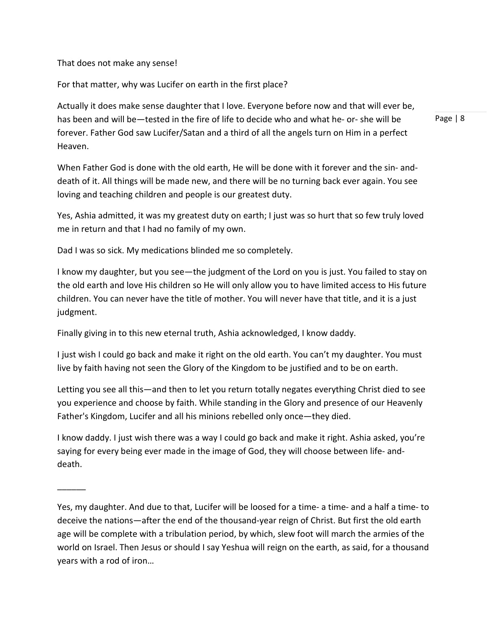That does not make any sense!

 $\overline{\phantom{a}}$ 

For that matter, why was Lucifer on earth in the first place?

Actually it does make sense daughter that I love. Everyone before now and that will ever be, has been and will be—tested in the fire of life to decide who and what he- or- she will be forever. Father God saw Lucifer/Satan and a third of all the angels turn on Him in a perfect Heaven.

Page | 8

When Father God is done with the old earth, He will be done with it forever and the sin- anddeath of it. All things will be made new, and there will be no turning back ever again. You see loving and teaching children and people is our greatest duty.

Yes, Ashia admitted, it was my greatest duty on earth; I just was so hurt that so few truly loved me in return and that I had no family of my own.

Dad I was so sick. My medications blinded me so completely.

I know my daughter, but you see—the judgment of the Lord on you is just. You failed to stay on the old earth and love His children so He will only allow you to have limited access to His future children. You can never have the title of mother. You will never have that title, and it is a just judgment.

Finally giving in to this new eternal truth, Ashia acknowledged, I know daddy.

I just wish I could go back and make it right on the old earth. You can't my daughter. You must live by faith having not seen the Glory of the Kingdom to be justified and to be on earth.

Letting you see all this—and then to let you return totally negates everything Christ died to see you experience and choose by faith. While standing in the Glory and presence of our Heavenly Father's Kingdom, Lucifer and all his minions rebelled only once—they died.

I know daddy. I just wish there was a way I could go back and make it right. Ashia asked, you're saying for every being ever made in the image of God, they will choose between life- anddeath.

Yes, my daughter. And due to that, Lucifer will be loosed for a time- a time- and a half a time- to deceive the nations—after the end of the thousand-year reign of Christ. But first the old earth age will be complete with a tribulation period, by which, slew foot will march the armies of the world on Israel. Then Jesus or should I say Yeshua will reign on the earth, as said, for a thousand years with a rod of iron…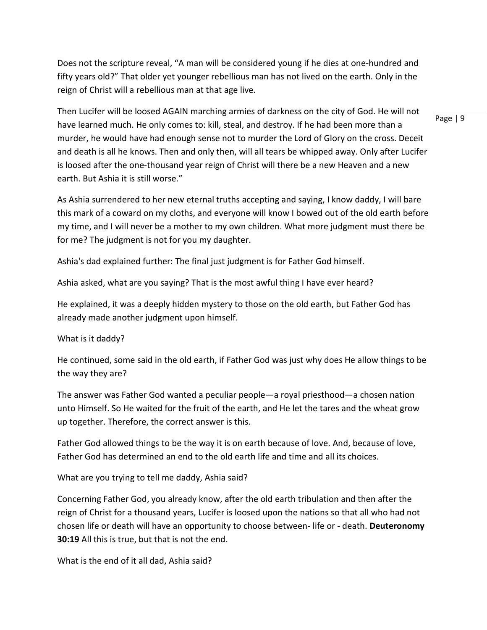Does not the scripture reveal, "A man will be considered young if he dies at one-hundred and fifty years old?" That older yet younger rebellious man has not lived on the earth. Only in the reign of Christ will a rebellious man at that age live.

Then Lucifer will be loosed AGAIN marching armies of darkness on the city of God. He will not have learned much. He only comes to: kill, steal, and destroy. If he had been more than a murder, he would have had enough sense not to murder the Lord of Glory on the cross. Deceit and death is all he knows. Then and only then, will all tears be whipped away. Only after Lucifer is loosed after the one-thousand year reign of Christ will there be a new Heaven and a new earth. But Ashia it is still worse."

As Ashia surrendered to her new eternal truths accepting and saying, I know daddy, I will bare this mark of a coward on my cloths, and everyone will know I bowed out of the old earth before my time, and I will never be a mother to my own children. What more judgment must there be for me? The judgment is not for you my daughter.

Ashia's dad explained further: The final just judgment is for Father God himself.

Ashia asked, what are you saying? That is the most awful thing I have ever heard?

He explained, it was a deeply hidden mystery to those on the old earth, but Father God has already made another judgment upon himself.

#### What is it daddy?

He continued, some said in the old earth, if Father God was just why does He allow things to be the way they are?

The answer was Father God wanted a peculiar people—a royal priesthood—a chosen nation unto Himself. So He waited for the fruit of the earth, and He let the tares and the wheat grow up together. Therefore, the correct answer is this.

Father God allowed things to be the way it is on earth because of love. And, because of love, Father God has determined an end to the old earth life and time and all its choices.

What are you trying to tell me daddy, Ashia said?

Concerning Father God, you already know, after the old earth tribulation and then after the reign of Christ for a thousand years, Lucifer is loosed upon the nations so that all who had not chosen life or death will have an opportunity to choose between- life or - death. **Deuteronomy 30:19** All this is true, but that is not the end.

What is the end of it all dad, Ashia said?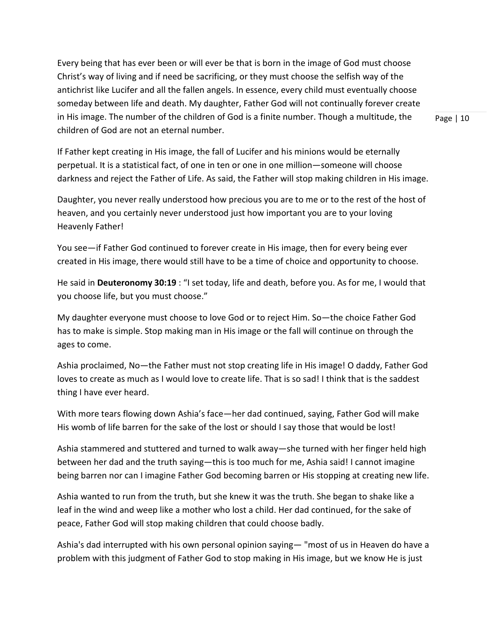Every being that has ever been or will ever be that is born in the image of God must choose Christ's way of living and if need be sacrificing, or they must choose the selfish way of the antichrist like Lucifer and all the fallen angels. In essence, every child must eventually choose someday between life and death. My daughter, Father God will not continually forever create in His image. The number of the children of God is a finite number. Though a multitude, the children of God are not an eternal number.

Page | 10

If Father kept creating in His image, the fall of Lucifer and his minions would be eternally perpetual. It is a statistical fact, of one in ten or one in one million—someone will choose darkness and reject the Father of Life. As said, the Father will stop making children in His image.

Daughter, you never really understood how precious you are to me or to the rest of the host of heaven, and you certainly never understood just how important you are to your loving Heavenly Father!

You see—if Father God continued to forever create in His image, then for every being ever created in His image, there would still have to be a time of choice and opportunity to choose.

He said in **Deuteronomy 30:19** : "I set today, life and death, before you. As for me, I would that you choose life, but you must choose."

My daughter everyone must choose to love God or to reject Him. So—the choice Father God has to make is simple. Stop making man in His image or the fall will continue on through the ages to come.

Ashia proclaimed, No—the Father must not stop creating life in His image! O daddy, Father God loves to create as much as I would love to create life. That is so sad! I think that is the saddest thing I have ever heard.

With more tears flowing down Ashia's face—her dad continued, saying, Father God will make His womb of life barren for the sake of the lost or should I say those that would be lost!

Ashia stammered and stuttered and turned to walk away—she turned with her finger held high between her dad and the truth saying—this is too much for me, Ashia said! I cannot imagine being barren nor can I imagine Father God becoming barren or His stopping at creating new life.

Ashia wanted to run from the truth, but she knew it was the truth. She began to shake like a leaf in the wind and weep like a mother who lost a child. Her dad continued, for the sake of peace, Father God will stop making children that could choose badly.

Ashia's dad interrupted with his own personal opinion saying— "most of us in Heaven do have a problem with this judgment of Father God to stop making in His image, but we know He is just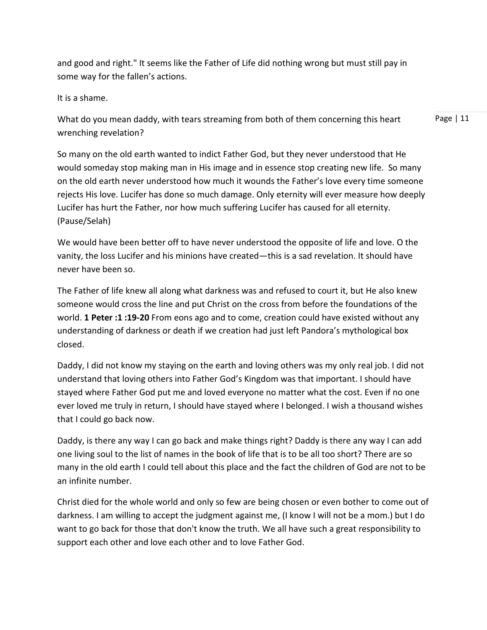and good and right." It seems like the Father of Life did nothing wrong but must still pay in some way for the fallen's actions.

It is a shame.

What do you mean daddy, with tears streaming from both of them concerning this heart wrenching revelation?

Page | 11

So many on the old earth wanted to indict Father God, but they never understood that He would someday stop making man in His image and in essence stop creating new life. So many on the old earth never understood how much it wounds the Father's love every time someone rejects His love. Lucifer has done so much damage. Only eternity will ever measure how deeply Lucifer has hurt the Father, nor how much suffering Lucifer has caused for all eternity. (Pause/Selah)

We would have been better off to have never understood the opposite of life and love. O the vanity, the loss Lucifer and his minions have created—this is a sad revelation. It should have never have been so.

The Father of life knew all along what darkness was and refused to court it, but He also knew someone would cross the line and put Christ on the cross from before the foundations of the world. **1 Peter :1 :19-20** From eons ago and to come, creation could have existed without any understanding of darkness or death if we creation had just left Pandora's mythological box closed.

Daddy, I did not know my staying on the earth and loving others was my only real job. I did not understand that loving others into Father God's Kingdom was that important. I should have stayed where Father God put me and loved everyone no matter what the cost. Even if no one ever loved me truly in return, I should have stayed where I belonged. I wish a thousand wishes that I could go back now.

Daddy, is there any way I can go back and make things right? Daddy is there any way I can add one living soul to the list of names in the book of life that is to be all too short? There are so many in the old earth I could tell about this place and the fact the children of God are not to be an infinite number.

Christ died for the whole world and only so few are being chosen or even bother to come out of darkness. I am willing to accept the judgment against me, (I know I will not be a mom.) but I do want to go back for those that don't know the truth. We all have such a great responsibility to support each other and love each other and to love Father God.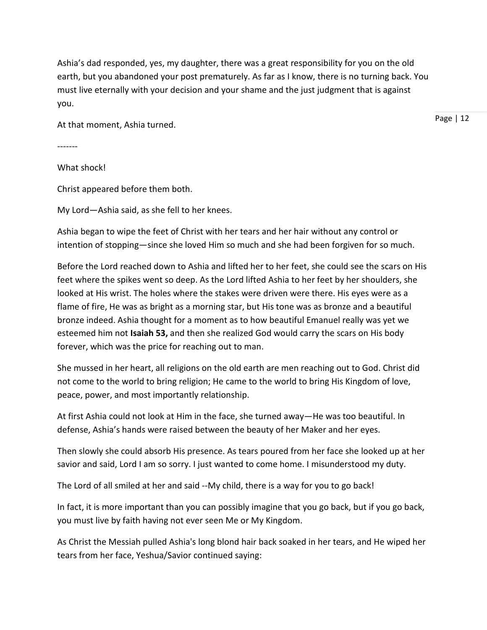Ashia's dad responded, yes, my daughter, there was a great responsibility for you on the old earth, but you abandoned your post prematurely. As far as I know, there is no turning back. You must live eternally with your decision and your shame and the just judgment that is against you.

At that moment, Ashia turned.

-------

What shock!

Christ appeared before them both.

My Lord—Ashia said, as she fell to her knees.

Ashia began to wipe the feet of Christ with her tears and her hair without any control or intention of stopping—since she loved Him so much and she had been forgiven for so much.

Before the Lord reached down to Ashia and lifted her to her feet, she could see the scars on His feet where the spikes went so deep. As the Lord lifted Ashia to her feet by her shoulders, she looked at His wrist. The holes where the stakes were driven were there. His eyes were as a flame of fire, He was as bright as a morning star, but His tone was as bronze and a beautiful bronze indeed. Ashia thought for a moment as to how beautiful Emanuel really was yet we esteemed him not **Isaiah 53,** and then she realized God would carry the scars on His body forever, which was the price for reaching out to man.

She mussed in her heart, all religions on the old earth are men reaching out to God. Christ did not come to the world to bring religion; He came to the world to bring His Kingdom of love, peace, power, and most importantly relationship.

At first Ashia could not look at Him in the face, she turned away—He was too beautiful. In defense, Ashia's hands were raised between the beauty of her Maker and her eyes.

Then slowly she could absorb His presence. As tears poured from her face she looked up at her savior and said, Lord I am so sorry. I just wanted to come home. I misunderstood my duty.

The Lord of all smiled at her and said --My child, there is a way for you to go back!

In fact, it is more important than you can possibly imagine that you go back, but if you go back, you must live by faith having not ever seen Me or My Kingdom.

As Christ the Messiah pulled Ashia's long blond hair back soaked in her tears, and He wiped her tears from her face, Yeshua/Savior continued saying: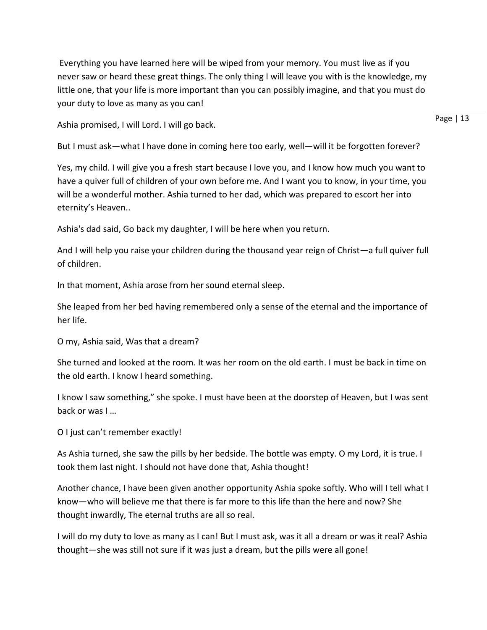Everything you have learned here will be wiped from your memory. You must live as if you never saw or heard these great things. The only thing I will leave you with is the knowledge, my little one, that your life is more important than you can possibly imagine, and that you must do your duty to love as many as you can!

Ashia promised, I will Lord. I will go back.

Page | 13

But I must ask—what I have done in coming here too early, well—will it be forgotten forever?

Yes, my child. I will give you a fresh start because I love you, and I know how much you want to have a quiver full of children of your own before me. And I want you to know, in your time, you will be a wonderful mother. Ashia turned to her dad, which was prepared to escort her into eternity's Heaven..

Ashia's dad said, Go back my daughter, I will be here when you return.

And I will help you raise your children during the thousand year reign of Christ—a full quiver full of children.

In that moment, Ashia arose from her sound eternal sleep.

She leaped from her bed having remembered only a sense of the eternal and the importance of her life.

O my, Ashia said, Was that a dream?

She turned and looked at the room. It was her room on the old earth. I must be back in time on the old earth. I know I heard something.

I know I saw something," she spoke. I must have been at the doorstep of Heaven, but I was sent back or was I …

O I just can't remember exactly!

As Ashia turned, she saw the pills by her bedside. The bottle was empty. O my Lord, it is true. I took them last night. I should not have done that, Ashia thought!

Another chance, I have been given another opportunity Ashia spoke softly. Who will I tell what I know—who will believe me that there is far more to this life than the here and now? She thought inwardly, The eternal truths are all so real.

I will do my duty to love as many as I can! But I must ask, was it all a dream or was it real? Ashia thought—she was still not sure if it was just a dream, but the pills were all gone!